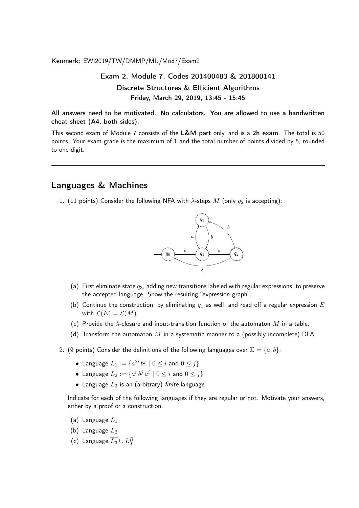Kenmerk: EWI2019/TW/DMMP/MU/Mod7/Exam2

## Exam 2, Module 7, Codes 201400483 & 201800141 Discrete Structures & Efficient Algorithms Friday, March 29, 2019, 13:45 - 15:45

All answers need to be motivated. No calculators. You are allowed to use a handwritten cheat sheet (A4, both sides).

This second exam of Module 7 consists of the L&M part only, and is a 2h exam. The total is 50 points. Your exam grade is the maximum of 1 and the total number of points divided by 5, rounded to one digit.

## Languages & Machines

1. (11 points) Consider the following NFA with  $\lambda$ -steps M (only  $q_2$  is accepting):



- (a) First eliminate state  $q_3$ , adding new transitions labeled with regular expressions, to preserve the accepted language. Show the resulting "expression graph".
- (b) Continue the construction, by eliminating  $q_1$  as well, and read off a regular expression  $E$ with  $\mathcal{L}(E) = \mathcal{L}(M)$ .
- (c) Provide the  $\lambda$ -closure and input-transition function of the automaton M in a table.
- (d) Transform the automaton M in a systematic manner to a (possibly incomplete) DFA.
- 2. (9 points) Consider the definitions of the following languages over  $\Sigma = \{a, b\}$ :
	- $\bullet\,$  Language  $L_1:=\{a^{2i}\,b^j\mid 0\leq i$  and  $0\leq j\}$
	- $\bullet\,$  Language  $L_2:=\{a^i\,b^j\,a^i\mid 0\leq i$  and  $0\leq j\}$
	- Language  $L_3$  is an (arbitrary) finite language

Indicate for each of the following languages if they are regular or not. Motivate your answers, either by a proof or a construction.

- (a) Language  $L_1$
- (b) Language  $L_2$
- (c) Language  $\overline{L_3} \cup L_3^R$